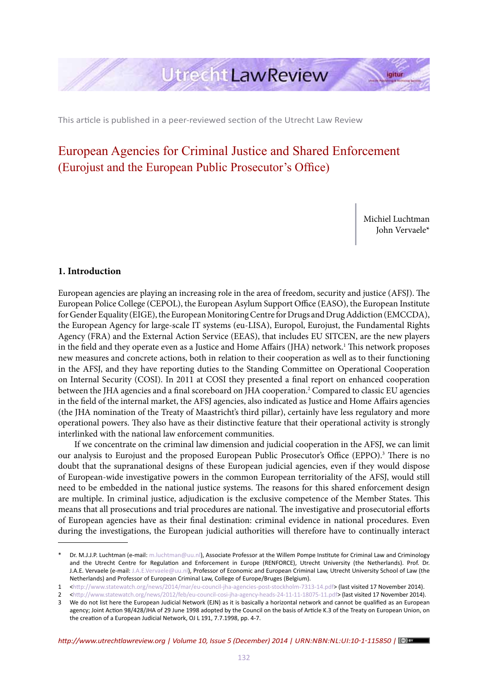

This article is published in a peer-reviewed section of the Utrecht Law Review

# European Agencies for Criminal Justice and Shared Enforcement (Eurojust and the European Public Prosecutor's Office)

Michiel Luchtman John Vervaele\*

#### **1. Introduction**

European agencies are playing an increasing role in the area of freedom, security and justice (AFSJ). The European Police College (CEPOL), the European Asylum Support Office (EASO), the European Institute for Gender Equality (EIGE), the European Monitoring Centre for Drugs and Drug Addiction (EMCCDA), the European Agency for large-scale IT systems (eu-LISA), Europol, Eurojust, the Fundamental Rights Agency (FRA) and the External Action Service (EEAS), that includes EU SITCEN, are the new players in the field and they operate even as a Justice and Home Affairs (JHA) network.1 This network proposes new measures and concrete actions, both in relation to their cooperation as well as to their functioning in the AFSJ, and they have reporting duties to the Standing Committee on Operational Cooperation on Internal Security (COSI). In 2011 at COSI they presented a final report on enhanced cooperation between the JHA agencies and a final scoreboard on JHA cooperation.2 Compared to classic EU agencies in the field of the internal market, the AFSJ agencies, also indicated as Justice and Home Affairs agencies (the JHA nomination of the Treaty of Maastricht's third pillar), certainly have less regulatory and more operational powers. They also have as their distinctive feature that their operational activity is strongly interlinked with the national law enforcement communities.

If we concentrate on the criminal law dimension and judicial cooperation in the AFSJ, we can limit our analysis to Eurojust and the proposed European Public Prosecutor's Office (EPPO).<sup>3</sup> There is no doubt that the supranational designs of these European judicial agencies, even if they would dispose of European-wide investigative powers in the common European territoriality of the AFSJ, would still need to be embedded in the national justice systems. The reasons for this shared enforcement design are multiple. In criminal justice, adjudication is the exclusive competence of the Member States. This means that all prosecutions and trial procedures are national. The investigative and prosecutorial efforts of European agencies have as their final destination: criminal evidence in national procedures. Even during the investigations, the European judicial authorities will therefore have to continually interact

Dr. M.J.J.P. Luchtman (e-mail: m.luchtman@uu.nl), Associate Professor at the Willem Pompe Institute for Criminal Law and Criminology and the Utrecht Centre for Regulation and Enforcement in Europe (RENFORCE), Utrecht University (the Netherlands). Prof. Dr. J.A.E. Vervaele (e-mail: J.A.E.Vervaele@uu.nl), Professor of Economic and European Criminal Law, Utrecht University School of Law (the Netherlands) and Professor of European Criminal Law, College of Europe/Bruges (Belgium).

<sup>1</sup> <http://www.statewatch.org/news/2014/mar/eu-council-jha-agencies-post-stockholm-7313-14.pdf> (last visited 17 November 2014).

<sup>2 &</sup>lt;http://www.statewatch.org/news/2012/feb/eu-council-cosi-jha-agency-heads-24-11-11-18075-11.pdf> (last visited 17 November 2014).

<sup>3</sup> We do not list here the European Judicial Network (EJN) as it is basically a horizontal network and cannot be qualified as an European agency; Joint Action 98/428/JHA of 29 June 1998 adopted by the Council on the basis of Article K.3 of the Treaty on European Union, on the creation of a European Judicial Network, OJ L 191, 7.7.1998, pp. 4-7.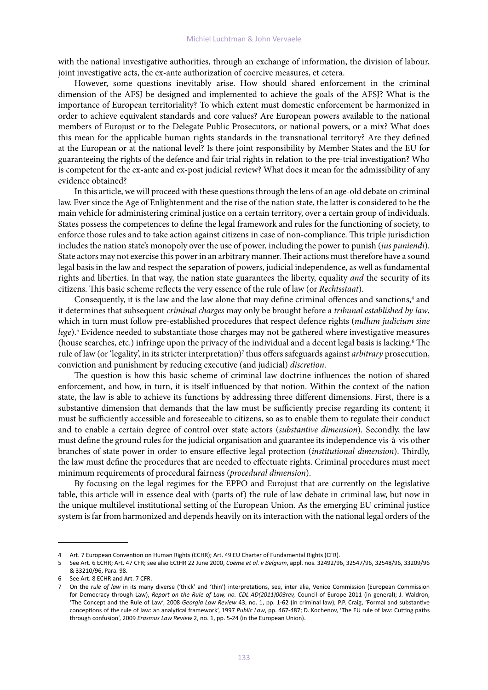with the national investigative authorities, through an exchange of information, the division of labour, joint investigative acts, the ex-ante authorization of coercive measures, et cetera.

However, some questions inevitably arise. How should shared enforcement in the criminal dimension of the AFSJ be designed and implemented to achieve the goals of the AFSJ? What is the importance of European territoriality? To which extent must domestic enforcement be harmonized in order to achieve equivalent standards and core values? Are European powers available to the national members of Eurojust or to the Delegate Public Prosecutors, or national powers, or a mix? What does this mean for the applicable human rights standards in the transnational territory? Are they defined at the European or at the national level? Is there joint responsibility by Member States and the EU for guaranteeing the rights of the defence and fair trial rights in relation to the pre-trial investigation? Who is competent for the ex-ante and ex-post judicial review? What does it mean for the admissibility of any evidence obtained?

In this article, we will proceed with these questions through the lens of an age-old debate on criminal law. Ever since the Age of Enlightenment and the rise of the nation state, the latter is considered to be the main vehicle for administering criminal justice on a certain territory, over a certain group of individuals. States possess the competences to define the legal framework and rules for the functioning of society, to enforce those rules and to take action against citizens in case of non-compliance. This triple jurisdiction includes the nation state's monopoly over the use of power, including the power to punish (*ius puniendi*). State actors may not exercise this power in an arbitrary manner. Their actions must therefore have a sound legal basis in the law and respect the separation of powers, judicial independence, as well as fundamental rights and liberties. In that way, the nation state guarantees the liberty, equality *and* the security of its citizens. This basic scheme reflects the very essence of the rule of law (or *Rechtsstaat*).

Consequently, it is the law and the law alone that may define criminal offences and sanctions,<sup>4</sup> and it determines that subsequent *criminal charges* may only be brought before a *tribunal established by law*, which in turn must follow pre-established procedures that respect defence rights (*nullum judicium sine*  lege).<sup>5</sup> Evidence needed to substantiate those charges may not be gathered where investigative measures (house searches, etc.) infringe upon the privacy of the individual and a decent legal basis is lacking.6 The rule of law (or 'legality', in its stricter interpretation)<sup>7</sup> thus offers safeguards against *arbitrary* prosecution, conviction and punishment by reducing executive (and judicial) *discretion*.

The question is how this basic scheme of criminal law doctrine influences the notion of shared enforcement, and how, in turn, it is itself influenced by that notion. Within the context of the nation state, the law is able to achieve its functions by addressing three different dimensions. First, there is a substantive dimension that demands that the law must be sufficiently precise regarding its content; it must be sufficiently accessible and foreseeable to citizens, so as to enable them to regulate their conduct and to enable a certain degree of control over state actors (*substantive dimension*). Secondly, the law must define the ground rules for the judicial organisation and guarantee its independence vis-à-vis other branches of state power in order to ensure effective legal protection (*institutional dimension*). Thirdly, the law must define the procedures that are needed to effectuate rights. Criminal procedures must meet minimum requirements of procedural fairness (*procedural dimension*).

By focusing on the legal regimes for the EPPO and Eurojust that are currently on the legislative table, this article will in essence deal with (parts of) the rule of law debate in criminal law, but now in the unique multilevel institutional setting of the European Union. As the emerging EU criminal justice system is far from harmonized and depends heavily on its interaction with the national legal orders of the

<sup>4</sup> Art. 7 European Convention on Human Rights (ECHR); Art. 49 EU Charter of Fundamental Rights (CFR).

<sup>5</sup> See Art. 6 ECHR; Art. 47 CFR; see also ECtHR 22 June 2000, *Coëme et al. v Belgium*, appl. nos. 32492/96, 32547/96, 32548/96, 33209/96 & 33210/96, Para. 98.

See Art. 8 ECHR and Art. 7 CFR.

On the *rule of law* in its many diverse ('thick' and 'thin') interpretations, see, inter alia, Venice Commission (European Commission for Democracy through Law), *Report on the Rule of Law, no. CDL-AD(2011)003rev,* Council of Europe 2011 (in general); J. Waldron, 'The Concept and the Rule of Law', 2008 *Georgia Law Review* 43, no. 1, pp. 1-62 (in criminal law); P.P. Craig, 'Formal and substantive conceptions of the rule of law: an analytical framework', 1997 *Public Law*, pp. 467-487; D. Kochenov, 'The EU rule of law: Cutting paths through confusion', 2009 *Erasmus Law Review* 2, no. 1, pp. 5-24 (in the European Union).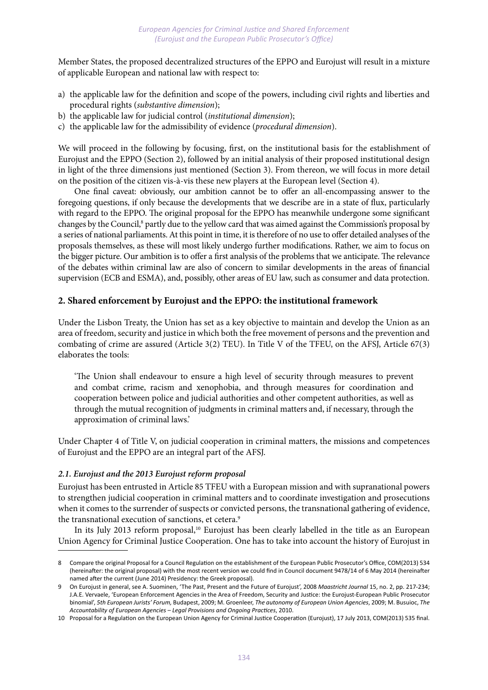Member States, the proposed decentralized structures of the EPPO and Eurojust will result in a mixture of applicable European and national law with respect to:

- a) the applicable law for the definition and scope of the powers, including civil rights and liberties and procedural rights (*substantive dimension*);
- b) the applicable law for judicial control (*institutional dimension*);
- c) the applicable law for the admissibility of evidence (*procedural dimension*).

We will proceed in the following by focusing, first, on the institutional basis for the establishment of Eurojust and the EPPO (Section 2), followed by an initial analysis of their proposed institutional design in light of the three dimensions just mentioned (Section 3). From thereon, we will focus in more detail on the position of the citizen vis-à-vis these new players at the European level (Section 4).

One final caveat: obviously, our ambition cannot be to offer an all-encompassing answer to the foregoing questions, if only because the developments that we describe are in a state of flux, particularly with regard to the EPPO. The original proposal for the EPPO has meanwhile undergone some significant changes by the Council,<sup>8</sup> partly due to the yellow card that was aimed against the Commission's proposal by a series of national parliaments. At this point in time, it is therefore of no use to offer detailed analyses of the proposals themselves, as these will most likely undergo further modifications. Rather, we aim to focus on the bigger picture. Our ambition is to offer a first analysis of the problems that we anticipate. The relevance of the debates within criminal law are also of concern to similar developments in the areas of financial supervision (ECB and ESMA), and, possibly, other areas of EU law, such as consumer and data protection.

# **2. Shared enforcement by Eurojust and the EPPO: the institutional framework**

Under the Lisbon Treaty, the Union has set as a key objective to maintain and develop the Union as an area of freedom, security and justice in which both the free movement of persons and the prevention and combating of crime are assured (Article 3(2) TEU). In Title V of the TFEU, on the AFSJ, Article 67(3) elaborates the tools:

'The Union shall endeavour to ensure a high level of security through measures to prevent and combat crime, racism and xenophobia, and through measures for coordination and cooperation between police and judicial authorities and other competent authorities, as well as through the mutual recognition of judgments in criminal matters and, if necessary, through the approximation of criminal laws.'

Under Chapter 4 of Title V, on judicial cooperation in criminal matters, the missions and competences of Eurojust and the EPPO are an integral part of the AFSJ.

# *2.1. Eurojust and the 2013 Eurojust reform proposal*

Eurojust has been entrusted in Article 85 TFEU with a European mission and with supranational powers to strengthen judicial cooperation in criminal matters and to coordinate investigation and prosecutions when it comes to the surrender of suspects or convicted persons, the transnational gathering of evidence, the transnational execution of sanctions, et cetera.<sup>9</sup>

In its July 2013 reform proposal,<sup>10</sup> Eurojust has been clearly labelled in the title as an European Union Agency for Criminal Justice Cooperation. One has to take into account the history of Eurojust in

<sup>8</sup> Compare the original Proposal for a Council Regulation on the establishment of the European Public Prosecutor's Office, COM(2013) 534 (hereinafter: the original proposal) with the most recent version we could find in Council document 9478/14 of 6 May 2014 (hereinafter named after the current (June 2014) Presidency: the Greek proposal).

<sup>9</sup> On Eurojust in general, see A. Suominen, 'The Past, Present and the Future of Eurojust', 2008 *Maastricht Journal* 15, no. 2, pp. 217-234; J.A.E. Vervaele, 'European Enforcement Agencies in the Area of Freedom, Security and Justice: the Eurojust-European Public Prosecutor binomial', *5th European Jurists' Forum,* Budapest, 2009; M. Groenleer, *The autonomy of European Union Agencies*, 2009; M. Busuioc, *The Accountability of European Agencies – Legal Provisions and Ongoing Practices*, 2010.

<sup>10</sup> Proposal for a Regulation on the European Union Agency for Criminal Justice Cooperation (Eurojust), 17 July 2013, COM(2013) 535 final.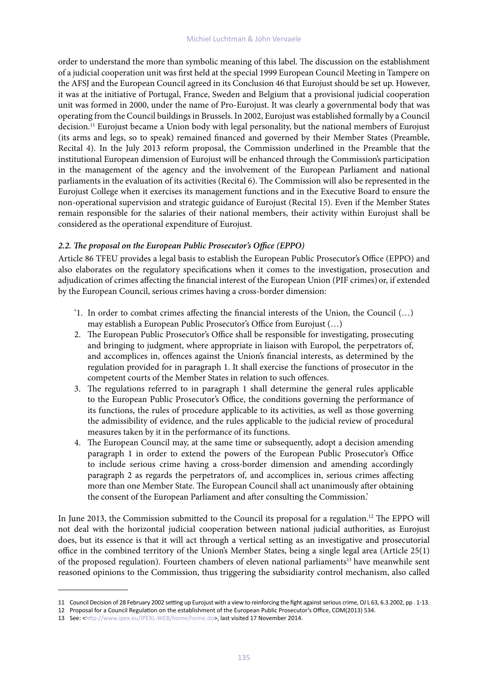order to understand the more than symbolic meaning of this label. The discussion on the establishment of a judicial cooperation unit was first held at the special 1999 European Council Meeting in Tampere on the AFSJ and the European Council agreed in its Conclusion 46 that Eurojust should be set up. However, it was at the initiative of Portugal, France, Sweden and Belgium that a provisional judicial cooperation unit was formed in 2000, under the name of Pro-Eurojust. It was clearly a governmental body that was operating from the Council buildings in Brussels. In 2002, Eurojust was established formally by a Council decision.<sup>11</sup> Eurojust became a Union body with legal personality, but the national members of Eurojust (its arms and legs, so to speak) remained financed and governed by their Member States (Preamble, Recital 4). In the July 2013 reform proposal, the Commission underlined in the Preamble that the institutional European dimension of Eurojust will be enhanced through the Commission's participation in the management of the agency and the involvement of the European Parliament and national parliaments in the evaluation of its activities (Recital 6). The Commission will also be represented in the Eurojust College when it exercises its management functions and in the Executive Board to ensure the non-operational supervision and strategic guidance of Eurojust (Recital 15). Even if the Member States remain responsible for the salaries of their national members, their activity within Eurojust shall be considered as the operational expenditure of Eurojust.

# *2.2. The proposal on the European Public Prosecutor's Office (EPPO)*

Article 86 TFEU provides a legal basis to establish the European Public Prosecutor's Office (EPPO) and also elaborates on the regulatory specifications when it comes to the investigation, prosecution and adjudication of crimes affecting the financial interest of the European Union (PIF crimes)or, if extended by the European Council, serious crimes having a cross-border dimension:

- '1. In order to combat crimes affecting the financial interests of the Union, the Council (…) may establish a European Public Prosecutor's Office from Eurojust (…)
- 2. The European Public Prosecutor's Office shall be responsible for investigating, prosecuting and bringing to judgment, where appropriate in liaison with Europol, the perpetrators of, and accomplices in, offences against the Union's financial interests, as determined by the regulation provided for in paragraph 1. It shall exercise the functions of prosecutor in the competent courts of the Member States in relation to such offences.
- 3. The regulations referred to in paragraph 1 shall determine the general rules applicable to the European Public Prosecutor's Office, the conditions governing the performance of its functions, the rules of procedure applicable to its activities, as well as those governing the admissibility of evidence, and the rules applicable to the judicial review of procedural measures taken by it in the performance of its functions.
- 4. The European Council may, at the same time or subsequently, adopt a decision amending paragraph 1 in order to extend the powers of the European Public Prosecutor's Office to include serious crime having a cross-border dimension and amending accordingly paragraph 2 as regards the perpetrators of, and accomplices in, serious crimes affecting more than one Member State. The European Council shall act unanimously after obtaining the consent of the European Parliament and after consulting the Commission.'

In June 2013, the Commission submitted to the Council its proposal for a regulation.<sup>12</sup> The EPPO will not deal with the horizontal judicial cooperation between national judicial authorities, as Eurojust does, but its essence is that it will act through a vertical setting as an investigative and prosecutorial office in the combined territory of the Union's Member States, being a single legal area (Article 25(1) of the proposed regulation). Fourteen chambers of eleven national parliaments<sup>13</sup> have meanwhile sent reasoned opinions to the Commission, thus triggering the subsidiarity control mechanism, also called

<sup>11</sup> Council Decision of 28 February 2002 setting up Eurojust with a view to reinforcing the fight against serious crime, OJ L 63, 6.3.2002, pp . 1-13.

<sup>12</sup> Proposal for a Council Regulation on the establishment of the European Public Prosecutor's Office, COM(2013) 534.

<sup>13</sup> See: <http://www.ipex.eu/IPEXL-WEB/home/home.do>, last visited 17 November 2014.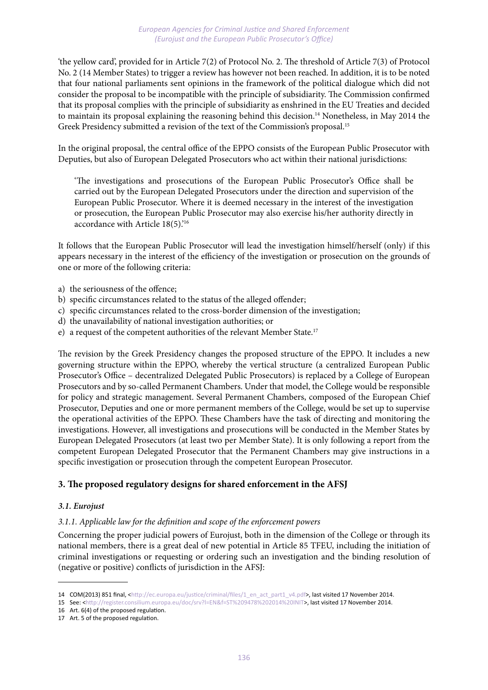'the yellow card', provided for in Article 7(2) of Protocol No. 2. The threshold of Article 7(3) of Protocol No. 2 (14 Member States) to trigger a review has however not been reached. In addition, it is to be noted that four national parliaments sent opinions in the framework of the political dialogue which did not consider the proposal to be incompatible with the principle of subsidiarity. The Commission confirmed that its proposal complies with the principle of subsidiarity as enshrined in the EU Treaties and decided to maintain its proposal explaining the reasoning behind this decision.<sup>14</sup> Nonetheless, in May 2014 the Greek Presidency submitted a revision of the text of the Commission's proposal.<sup>15</sup>

In the original proposal, the central office of the EPPO consists of the European Public Prosecutor with Deputies, but also of European Delegated Prosecutors who act within their national jurisdictions:

'The investigations and prosecutions of the European Public Prosecutor's Office shall be carried out by the European Delegated Prosecutors under the direction and supervision of the European Public Prosecutor. Where it is deemed necessary in the interest of the investigation or prosecution, the European Public Prosecutor may also exercise his/her authority directly in accordance with Article 18(5).'16

It follows that the European Public Prosecutor will lead the investigation himself/herself (only) if this appears necessary in the interest of the efficiency of the investigation or prosecution on the grounds of one or more of the following criteria:

- a) the seriousness of the offence;
- b) specific circumstances related to the status of the alleged offender;
- c) specific circumstances related to the cross-border dimension of the investigation;
- d) the unavailability of national investigation authorities; or
- e) a request of the competent authorities of the relevant Member State.17

The revision by the Greek Presidency changes the proposed structure of the EPPO. It includes a new governing structure within the EPPO, whereby the vertical structure (a centralized European Public Prosecutor's Office – decentralized Delegated Public Prosecutors) is replaced by a College of European Prosecutors and by so-called Permanent Chambers. Under that model, the College would be responsible for policy and strategic management. Several Permanent Chambers, composed of the European Chief Prosecutor, Deputies and one or more permanent members of the College, would be set up to supervise the operational activities of the EPPO. These Chambers have the task of directing and monitoring the investigations. However, all investigations and prosecutions will be conducted in the Member States by European Delegated Prosecutors (at least two per Member State). It is only following a report from the competent European Delegated Prosecutor that the Permanent Chambers may give instructions in a specific investigation or prosecution through the competent European Prosecutor.

# **3. The proposed regulatory designs for shared enforcement in the AFSJ**

## *3.1. Eurojust*

## *3.1.1. Applicable law for the definition and scope of the enforcement powers*

Concerning the proper judicial powers of Eurojust, both in the dimension of the College or through its national members, there is a great deal of new potential in Article 85 TFEU, including the initiation of criminal investigations or requesting or ordering such an investigation and the binding resolution of (negative or positive) conflicts of jurisdiction in the AFSJ:

<sup>14</sup> COM(2013) 851 final, <http://ec.europa.eu/justice/criminal/files/1\_en\_act\_part1\_v4.pdf>, last visited 17 November 2014.

<sup>15</sup> See: <http://register.consilium.europa.eu/doc/srv?l=EN&f=ST%209478%202014%20INIT>, last visited 17 November 2014.

<sup>16</sup> Art. 6(4) of the proposed regulation.

<sup>17</sup> Art. 5 of the proposed regulation.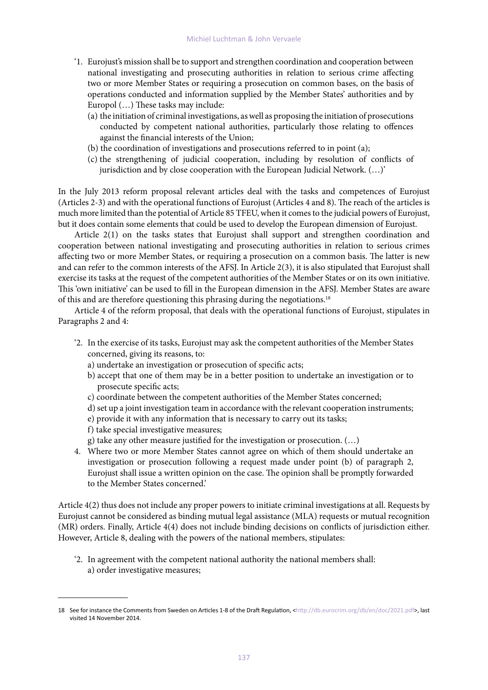- '1. Eurojust's mission shall be to support and strengthen coordination and cooperation between national investigating and prosecuting authorities in relation to serious crime affecting two or more Member States or requiring a prosecution on common bases, on the basis of operations conducted and information supplied by the Member States' authorities and by Europol (…) These tasks may include:
	- (a) the initiation of criminal investigations, as well as proposing the initiation of prosecutions conducted by competent national authorities, particularly those relating to offences against the financial interests of the Union;
	- (b) the coordination of investigations and prosecutions referred to in point (a);
	- (c) the strengthening of judicial cooperation, including by resolution of conflicts of jurisdiction and by close cooperation with the European Judicial Network. (…)'

In the July 2013 reform proposal relevant articles deal with the tasks and competences of Eurojust (Articles 2-3) and with the operational functions of Eurojust (Articles 4 and 8). The reach of the articles is much more limited than the potential of Article 85 TFEU, when it comes to the judicial powers of Eurojust, but it does contain some elements that could be used to develop the European dimension of Eurojust.

Article 2(1) on the tasks states that Eurojust shall support and strengthen coordination and cooperation between national investigating and prosecuting authorities in relation to serious crimes affecting two or more Member States, or requiring a prosecution on a common basis. The latter is new and can refer to the common interests of the AFSJ. In Article 2(3), it is also stipulated that Eurojust shall exercise its tasks at the request of the competent authorities of the Member States or on its own initiative. This 'own initiative' can be used to fill in the European dimension in the AFSJ. Member States are aware of this and are therefore questioning this phrasing during the negotiations.<sup>18</sup>

Article 4 of the reform proposal, that deals with the operational functions of Eurojust, stipulates in Paragraphs 2 and 4:

- '2. In the exercise of its tasks, Eurojust may ask the competent authorities of the Member States concerned, giving its reasons, to:
	- a) undertake an investigation or prosecution of specific acts;
	- b) accept that one of them may be in a better position to undertake an investigation or to prosecute specific acts;
	- c) coordinate between the competent authorities of the Member States concerned;
	- d) set up a joint investigation team in accordance with the relevant cooperation instruments;
	- e) provide it with any information that is necessary to carry out its tasks;
	- f) take special investigative measures;
	- g) take any other measure justified for the investigation or prosecution. (…)
- 4. Where two or more Member States cannot agree on which of them should undertake an investigation or prosecution following a request made under point (b) of paragraph 2, Eurojust shall issue a written opinion on the case. The opinion shall be promptly forwarded to the Member States concerned.'

Article 4(2) thus does not include any proper powers to initiate criminal investigations at all. Requests by Eurojust cannot be considered as binding mutual legal assistance (MLA) requests or mutual recognition (MR) orders. Finally, Article 4(4) does not include binding decisions on conflicts of jurisdiction either. However, Article 8, dealing with the powers of the national members, stipulates:

'2. In agreement with the competent national authority the national members shall: a) order investigative measures;

<sup>18</sup> See for instance the Comments from Sweden on Articles 1-8 of the Draft Regulation, <http://db.eurocrim.org/db/en/doc/2021.pdf>, last visited 14 November 2014.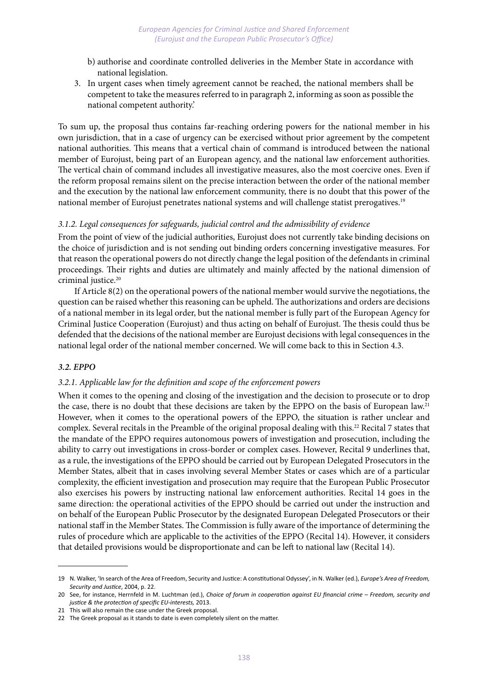- b) authorise and coordinate controlled deliveries in the Member State in accordance with national legislation.
- 3. In urgent cases when timely agreement cannot be reached, the national members shall be competent to take the measures referred to in paragraph 2, informing as soon as possible the national competent authority.'

To sum up, the proposal thus contains far-reaching ordering powers for the national member in his own jurisdiction, that in a case of urgency can be exercised without prior agreement by the competent national authorities. This means that a vertical chain of command is introduced between the national member of Eurojust, being part of an European agency, and the national law enforcement authorities. The vertical chain of command includes all investigative measures, also the most coercive ones. Even if the reform proposal remains silent on the precise interaction between the order of the national member and the execution by the national law enforcement community, there is no doubt that this power of the national member of Eurojust penetrates national systems and will challenge statist prerogatives.19

#### *3.1.2. Legal consequences for safeguards, judicial control and the admissibility of evidence*

From the point of view of the judicial authorities, Eurojust does not currently take binding decisions on the choice of jurisdiction and is not sending out binding orders concerning investigative measures. For that reason the operational powers do not directly change the legal position of the defendants in criminal proceedings. Their rights and duties are ultimately and mainly affected by the national dimension of criminal justice.<sup>20</sup>

If Article 8(2) on the operational powers of the national member would survive the negotiations, the question can be raised whether this reasoning can be upheld. The authorizations and orders are decisions of a national member in its legal order, but the national member is fully part of the European Agency for Criminal Justice Cooperation (Eurojust) and thus acting on behalf of Eurojust. The thesis could thus be defended that the decisions of the national member are Eurojust decisions with legal consequences in the national legal order of the national member concerned. We will come back to this in Section 4.3.

#### *3.2. EPPO*

## *3.2.1. Applicable law for the definition and scope of the enforcement powers*

When it comes to the opening and closing of the investigation and the decision to prosecute or to drop the case, there is no doubt that these decisions are taken by the EPPO on the basis of European law.21 However, when it comes to the operational powers of the EPPO, the situation is rather unclear and complex. Several recitals in the Preamble of the original proposal dealing with this.<sup>22</sup> Recital 7 states that the mandate of the EPPO requires autonomous powers of investigation and prosecution, including the ability to carry out investigations in cross-border or complex cases. However, Recital 9 underlines that, as a rule, the investigations of the EPPO should be carried out by European Delegated Prosecutors in the Member States, albeit that in cases involving several Member States or cases which are of a particular complexity, the efficient investigation and prosecution may require that the European Public Prosecutor also exercises his powers by instructing national law enforcement authorities. Recital 14 goes in the same direction: the operational activities of the EPPO should be carried out under the instruction and on behalf of the European Public Prosecutor by the designated European Delegated Prosecutors or their national staff in the Member States. The Commission is fully aware of the importance of determining the rules of procedure which are applicable to the activities of the EPPO (Recital 14). However, it considers that detailed provisions would be disproportionate and can be left to national law (Recital 14).

<sup>19</sup> N. Walker, 'In search of the Area of Freedom, Security and Justice: A constitutional Odyssey', in N. Walker (ed.), *Europe's Area of Freedom, Security and Justice*, 2004, p. 22.

<sup>20</sup> See, for instance, Herrnfeld in M. Luchtman (ed.), *Choice of forum in cooperation against EU financial crime – Freedom, security and justice & the protection of specific EU-interests,* 2013.

<sup>21</sup> This will also remain the case under the Greek proposal.

<sup>22</sup> The Greek proposal as it stands to date is even completely silent on the matter.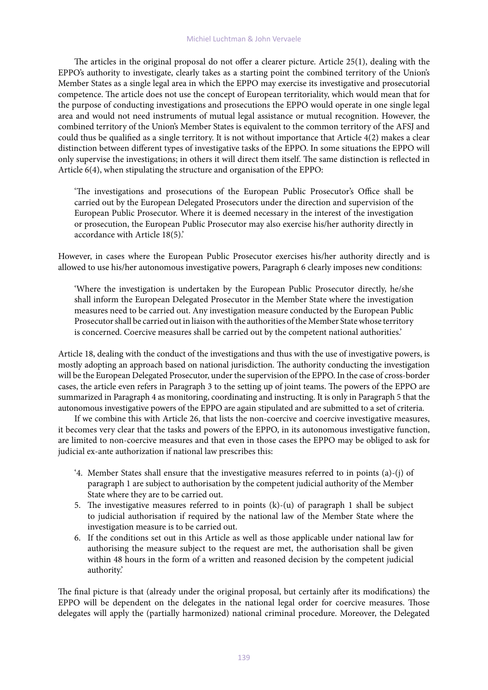#### Michiel Luchtman & John Vervaele

The articles in the original proposal do not offer a clearer picture. Article 25(1), dealing with the EPPO's authority to investigate, clearly takes as a starting point the combined territory of the Union's Member States as a single legal area in which the EPPO may exercise its investigative and prosecutorial competence. The article does not use the concept of European territoriality, which would mean that for the purpose of conducting investigations and prosecutions the EPPO would operate in one single legal area and would not need instruments of mutual legal assistance or mutual recognition. However, the combined territory of the Union's Member States is equivalent to the common territory of the AFSJ and could thus be qualified as a single territory. It is not without importance that Article 4(2) makes a clear distinction between different types of investigative tasks of the EPPO. In some situations the EPPO will only supervise the investigations; in others it will direct them itself. The same distinction is reflected in Article 6(4), when stipulating the structure and organisation of the EPPO:

'The investigations and prosecutions of the European Public Prosecutor's Office shall be carried out by the European Delegated Prosecutors under the direction and supervision of the European Public Prosecutor. Where it is deemed necessary in the interest of the investigation or prosecution, the European Public Prosecutor may also exercise his/her authority directly in accordance with Article 18(5).'

However, in cases where the European Public Prosecutor exercises his/her authority directly and is allowed to use his/her autonomous investigative powers, Paragraph 6 clearly imposes new conditions:

'Where the investigation is undertaken by the European Public Prosecutor directly, he/she shall inform the European Delegated Prosecutor in the Member State where the investigation measures need to be carried out. Any investigation measure conducted by the European Public Prosecutor shall be carried out in liaison with the authorities of the Member State whose territory is concerned. Coercive measures shall be carried out by the competent national authorities.'

Article 18, dealing with the conduct of the investigations and thus with the use of investigative powers, is mostly adopting an approach based on national jurisdiction. The authority conducting the investigation will be the European Delegated Prosecutor, under the supervision of the EPPO. In the case of cross-border cases, the article even refers in Paragraph 3 to the setting up of joint teams. The powers of the EPPO are summarized in Paragraph 4 as monitoring, coordinating and instructing. It is only in Paragraph 5 that the autonomous investigative powers of the EPPO are again stipulated and are submitted to a set of criteria.

If we combine this with Article 26, that lists the non-coercive and coercive investigative measures, it becomes very clear that the tasks and powers of the EPPO, in its autonomous investigative function, are limited to non-coercive measures and that even in those cases the EPPO may be obliged to ask for judicial ex-ante authorization if national law prescribes this:

- '4. Member States shall ensure that the investigative measures referred to in points (a)-(j) of paragraph 1 are subject to authorisation by the competent judicial authority of the Member State where they are to be carried out.
- 5. The investigative measures referred to in points (k)-(u) of paragraph 1 shall be subject to judicial authorisation if required by the national law of the Member State where the investigation measure is to be carried out.
- 6. If the conditions set out in this Article as well as those applicable under national law for authorising the measure subject to the request are met, the authorisation shall be given within 48 hours in the form of a written and reasoned decision by the competent judicial authority.'

The final picture is that (already under the original proposal, but certainly after its modifications) the EPPO will be dependent on the delegates in the national legal order for coercive measures. Those delegates will apply the (partially harmonized) national criminal procedure. Moreover, the Delegated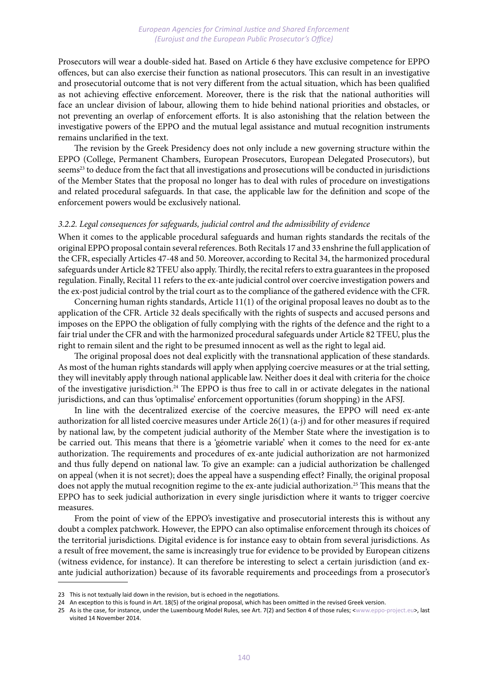Prosecutors will wear a double-sided hat. Based on Article 6 they have exclusive competence for EPPO offences, but can also exercise their function as national prosecutors. This can result in an investigative and prosecutorial outcome that is not very different from the actual situation, which has been qualified as not achieving effective enforcement. Moreover, there is the risk that the national authorities will face an unclear division of labour, allowing them to hide behind national priorities and obstacles, or not preventing an overlap of enforcement efforts. It is also astonishing that the relation between the investigative powers of the EPPO and the mutual legal assistance and mutual recognition instruments remains unclarified in the text.

The revision by the Greek Presidency does not only include a new governing structure within the EPPO (College, Permanent Chambers, European Prosecutors, European Delegated Prosecutors), but seems<sup>23</sup> to deduce from the fact that all investigations and prosecutions will be conducted in jurisdictions of the Member States that the proposal no longer has to deal with rules of procedure on investigations and related procedural safeguards. In that case, the applicable law for the definition and scope of the enforcement powers would be exclusively national.

#### *3.2.2. Legal consequences for safeguards, judicial control and the admissibility of evidence*

When it comes to the applicable procedural safeguards and human rights standards the recitals of the original EPPO proposal contain several references. Both Recitals 17 and 33 enshrine the full application of the CFR, especially Articles 47-48 and 50. Moreover, according to Recital 34, the harmonized procedural safeguards under Article 82 TFEU also apply. Thirdly, the recital refers to extra guarantees in the proposed regulation. Finally, Recital 11 refers to the ex-ante judicial control over coercive investigation powers and the ex-post judicial control by the trial court as to the compliance of the gathered evidence with the CFR.

Concerning human rights standards, Article 11(1) of the original proposal leaves no doubt as to the application of the CFR. Article 32 deals specifically with the rights of suspects and accused persons and imposes on the EPPO the obligation of fully complying with the rights of the defence and the right to a fair trial under the CFR and with the harmonized procedural safeguards under Article 82 TFEU, plus the right to remain silent and the right to be presumed innocent as well as the right to legal aid.

The original proposal does not deal explicitly with the transnational application of these standards. As most of the human rights standards will apply when applying coercive measures or at the trial setting, they will inevitably apply through national applicable law. Neither does it deal with criteria for the choice of the investigative jurisdiction.<sup>24</sup> The EPPO is thus free to call in or activate delegates in the national jurisdictions, and can thus 'optimalise' enforcement opportunities (forum shopping) in the AFSJ.

In line with the decentralized exercise of the coercive measures, the EPPO will need ex-ante authorization for all listed coercive measures under Article 26(1) (a-j) and for other measures if required by national law, by the competent judicial authority of the Member State where the investigation is to be carried out. This means that there is a 'géometrie variable' when it comes to the need for ex-ante authorization. The requirements and procedures of ex-ante judicial authorization are not harmonized and thus fully depend on national law. To give an example: can a judicial authorization be challenged on appeal (when it is not secret); does the appeal have a suspending effect? Finally, the original proposal does not apply the mutual recognition regime to the ex-ante judicial authorization.25 This means that the EPPO has to seek judicial authorization in every single jurisdiction where it wants to trigger coercive measures.

From the point of view of the EPPO's investigative and prosecutorial interests this is without any doubt a complex patchwork. However, the EPPO can also optimalise enforcement through its choices of the territorial jurisdictions. Digital evidence is for instance easy to obtain from several jurisdictions. As a result of free movement, the same is increasingly true for evidence to be provided by European citizens (witness evidence, for instance). It can therefore be interesting to select a certain jurisdiction (and exante judicial authorization) because of its favorable requirements and proceedings from a prosecutor's

<sup>23</sup> This is not textually laid down in the revision, but is echoed in the negotiations.

<sup>24</sup> An exception to this is found in Art. 18(5) of the original proposal, which has been omitted in the revised Greek version.

<sup>25</sup> As is the case, for instance, under the Luxembourg Model Rules, see Art. 7(2) and Section 4 of those rules; <www.eppo-project.eu>, last visited 14 November 2014.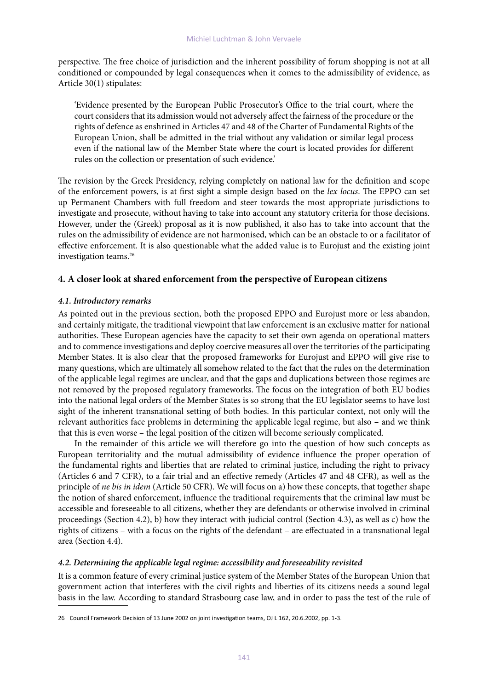perspective. The free choice of jurisdiction and the inherent possibility of forum shopping is not at all conditioned or compounded by legal consequences when it comes to the admissibility of evidence, as Article 30(1) stipulates:

'Evidence presented by the European Public Prosecutor's Office to the trial court, where the court considers that its admission would not adversely affect the fairness of the procedure or the rights of defence as enshrined in Articles 47 and 48 of the Charter of Fundamental Rights of the European Union, shall be admitted in the trial without any validation or similar legal process even if the national law of the Member State where the court is located provides for different rules on the collection or presentation of such evidence.'

The revision by the Greek Presidency, relying completely on national law for the definition and scope of the enforcement powers, is at first sight a simple design based on the *lex locus*. The EPPO can set up Permanent Chambers with full freedom and steer towards the most appropriate jurisdictions to investigate and prosecute, without having to take into account any statutory criteria for those decisions. However, under the (Greek) proposal as it is now published, it also has to take into account that the rules on the admissibility of evidence are not harmonised, which can be an obstacle to or a facilitator of effective enforcement. It is also questionable what the added value is to Eurojust and the existing joint investigation teams.26

# **4. A closer look at shared enforcement from the perspective of European citizens**

## *4.1. Introductory remarks*

As pointed out in the previous section, both the proposed EPPO and Eurojust more or less abandon, and certainly mitigate, the traditional viewpoint that law enforcement is an exclusive matter for national authorities. These European agencies have the capacity to set their own agenda on operational matters and to commence investigations and deploy coercive measures all over the territories of the participating Member States. It is also clear that the proposed frameworks for Eurojust and EPPO will give rise to many questions, which are ultimately all somehow related to the fact that the rules on the determination of the applicable legal regimes are unclear, and that the gaps and duplications between those regimes are not removed by the proposed regulatory frameworks. The focus on the integration of both EU bodies into the national legal orders of the Member States is so strong that the EU legislator seems to have lost sight of the inherent transnational setting of both bodies. In this particular context, not only will the relevant authorities face problems in determining the applicable legal regime, but also – and we think that this is even worse – the legal position of the citizen will become seriously complicated.

In the remainder of this article we will therefore go into the question of how such concepts as European territoriality and the mutual admissibility of evidence influence the proper operation of the fundamental rights and liberties that are related to criminal justice, including the right to privacy (Articles 6 and 7 CFR), to a fair trial and an effective remedy (Articles 47 and 48 CFR), as well as the principle of *ne bis in idem* (Article 50 CFR). We will focus on a) how these concepts, that together shape the notion of shared enforcement, influence the traditional requirements that the criminal law must be accessible and foreseeable to all citizens, whether they are defendants or otherwise involved in criminal proceedings (Section 4.2), b) how they interact with judicial control (Section 4.3), as well as c) how the rights of citizens – with a focus on the rights of the defendant – are effectuated in a transnational legal area (Section 4.4).

# *4.2. Determining the applicable legal regime: accessibility and foreseeability revisited*

It is a common feature of every criminal justice system of the Member States of the European Union that government action that interferes with the civil rights and liberties of its citizens needs a sound legal basis in the law. According to standard Strasbourg case law, and in order to pass the test of the rule of

<sup>26</sup> Council Framework Decision of 13 June 2002 on joint investigation teams, OJ L 162, 20.6.2002, pp. 1-3.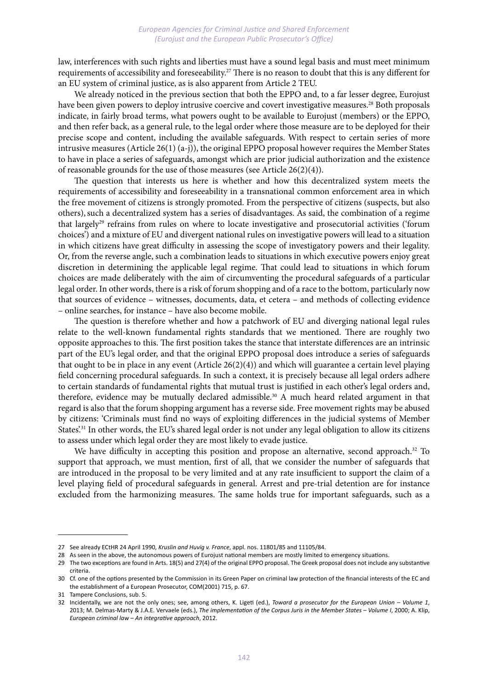law, interferences with such rights and liberties must have a sound legal basis and must meet minimum requirements of accessibility and foreseeability.27 There is no reason to doubt that this is any different for an EU system of criminal justice, as is also apparent from Article 2 TEU.

We already noticed in the previous section that both the EPPO and, to a far lesser degree, Eurojust have been given powers to deploy intrusive coercive and covert investigative measures.28 Both proposals indicate, in fairly broad terms, what powers ought to be available to Eurojust (members) or the EPPO, and then refer back, as a general rule, to the legal order where those measure are to be deployed for their precise scope and content, including the available safeguards. With respect to certain series of more intrusive measures (Article 26(1) (a-j)), the original EPPO proposal however requires the Member States to have in place a series of safeguards, amongst which are prior judicial authorization and the existence of reasonable grounds for the use of those measures (see Article 26(2)(4)).

The question that interests us here is whether and how this decentralized system meets the requirements of accessibility and foreseeability in a transnational common enforcement area in which the free movement of citizens is strongly promoted. From the perspective of citizens (suspects, but also others),such a decentralized system has a series of disadvantages. As said, the combination of a regime that largely<sup>29</sup> refrains from rules on where to locate investigative and prosecutorial activities ('forum choices') and a mixture of EU and divergent national rules on investigative powers will lead to a situation in which citizens have great difficulty in assessing the scope of investigatory powers and their legality. Or, from the reverse angle, such a combination leads to situations in which executive powers enjoy great discretion in determining the applicable legal regime. That could lead to situations in which forum choices are made deliberately with the aim of circumventing the procedural safeguards of a particular legal order. In other words, there is a risk of forum shopping and of a race to the bottom, particularly now that sources of evidence – witnesses, documents, data, et cetera – and methods of collecting evidence – online searches, for instance – have also become mobile.

The question is therefore whether and how a patchwork of EU and diverging national legal rules relate to the well-known fundamental rights standards that we mentioned. There are roughly two opposite approaches to this. The first position takes the stance that interstate differences are an intrinsic part of the EU's legal order, and that the original EPPO proposal does introduce a series of safeguards that ought to be in place in any event (Article  $26(2)(4)$ ) and which will guarantee a certain level playing field concerning procedural safeguards. In such a context, it is precisely because all legal orders adhere to certain standards of fundamental rights that mutual trust is justified in each other's legal orders and, therefore, evidence may be mutually declared admissible.<sup>30</sup> A much heard related argument in that regard is also that the forum shopping argument has a reverse side. Free movement rights may be abused by citizens: 'Criminals must find no ways of exploiting differences in the judicial systems of Member States<sup>'31</sup> In other words, the EU's shared legal order is not under any legal obligation to allow its citizens to assess under which legal order they are most likely to evade justice.

We have difficulty in accepting this position and propose an alternative, second approach.<sup>32</sup> To support that approach, we must mention, first of all, that we consider the number of safeguards that are introduced in the proposal to be very limited and at any rate insufficient to support the claim of a level playing field of procedural safeguards in general. Arrest and pre-trial detention are for instance excluded from the harmonizing measures. The same holds true for important safeguards, such as a

<sup>27</sup> See already ECtHR 24 April 1990, *Kruslin and Huvig v. France*, appl. nos. 11801/85 and 11105/84.

<sup>28</sup> As seen in the above, the autonomous powers of Eurojust national members are mostly limited to emergency situations.

<sup>29</sup> The two exceptions are found in Arts. 18(5) and 27(4) of the original EPPO proposal. The Greek proposal does not include any substantive criteria.

<sup>30</sup> Cf. one of the options presented by the Commission in its Green Paper on criminal law protection of the financial interests of the EC and the establishment of a European Prosecutor, COM(2001) 715, p. 67.

<sup>31</sup> Tampere Conclusions, sub. 5.

<sup>32</sup> Incidentally, we are not the only ones; see, among others, K. Ligeti (ed.), *Toward a prosecutor for the European Union – Volume 1*, 2013; M. Delmas-Marty & J.A.E. Vervaele (eds.), *The implementation of the Corpus Juris in the Member States – Volume I*, 2000; A. Klip, *European criminal law – An integrative approach*, 2012.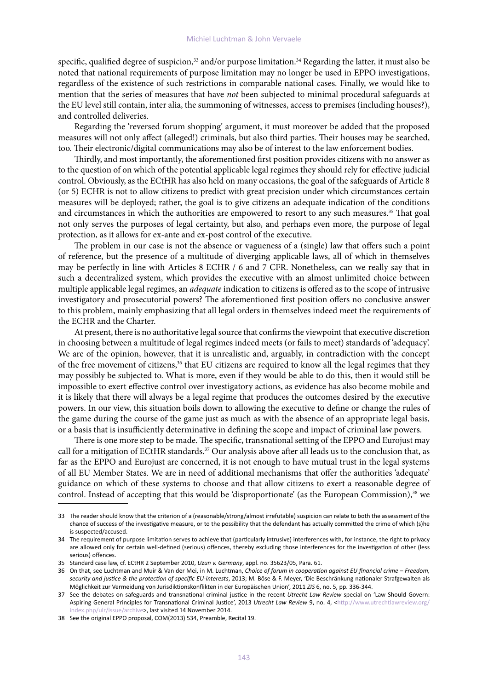specific, qualified degree of suspicion,<sup>33</sup> and/or purpose limitation.<sup>34</sup> Regarding the latter, it must also be noted that national requirements of purpose limitation may no longer be used in EPPO investigations, regardless of the existence of such restrictions in comparable national cases. Finally, we would like to mention that the series of measures that have *not* been subjected to minimal procedural safeguards at the EU level still contain, inter alia, the summoning of witnesses, access to premises (including houses?), and controlled deliveries.

Regarding the 'reversed forum shopping' argument, it must moreover be added that the proposed measures will not only affect (alleged!) criminals, but also third parties. Their houses may be searched, too. Their electronic/digital communications may also be of interest to the law enforcement bodies.

Thirdly, and most importantly, the aforementioned first position provides citizens with no answer as to the question of on which of the potential applicable legal regimes they should rely for effective judicial control. Obviously, as the ECtHR has also held on many occasions, the goal of the safeguards of Article 8 (or 5) ECHR is not to allow citizens to predict with great precision under which circumstances certain measures will be deployed; rather, the goal is to give citizens an adequate indication of the conditions and circumstances in which the authorities are empowered to resort to any such measures.<sup>35</sup> That goal not only serves the purposes of legal certainty, but also, and perhaps even more, the purpose of legal protection, as it allows for ex-ante and ex-post control of the executive.

The problem in our case is not the absence or vagueness of a (single) law that offers such a point of reference, but the presence of a multitude of diverging applicable laws, all of which in themselves may be perfectly in line with Articles 8 ECHR / 6 and 7 CFR. Nonetheless, can we really say that in such a decentralized system, which provides the executive with an almost unlimited choice between multiple applicable legal regimes, an *adequate* indication to citizens is offered as to the scope of intrusive investigatory and prosecutorial powers? The aforementioned first position offers no conclusive answer to this problem, mainly emphasizing that all legal orders in themselves indeed meet the requirements of the ECHR and the Charter.

At present, there is no authoritative legal source that confirms the viewpoint that executive discretion in choosing between a multitude of legal regimes indeed meets (or fails to meet) standards of 'adequacy'. We are of the opinion, however, that it is unrealistic and, arguably, in contradiction with the concept of the free movement of citizens,<sup>36</sup> that EU citizens are required to know all the legal regimes that they may possibly be subjected to. What is more, even if they would be able to do this, then it would still be impossible to exert effective control over investigatory actions, as evidence has also become mobile and it is likely that there will always be a legal regime that produces the outcomes desired by the executive powers. In our view, this situation boils down to allowing the executive to define or change the rules of the game during the course of the game just as much as with the absence of an appropriate legal basis, or a basis that is insufficiently determinative in defining the scope and impact of criminal law powers.

There is one more step to be made. The specific, transnational setting of the EPPO and Eurojust may call for a mitigation of ECtHR standards.<sup>37</sup> Our analysis above after all leads us to the conclusion that, as far as the EPPO and Eurojust are concerned, it is not enough to have mutual trust in the legal systems of all EU Member States. We are in need of additional mechanisms that offer the authorities 'adequate' guidance on which of these systems to choose and that allow citizens to exert a reasonable degree of control. Instead of accepting that this would be 'disproportionate' (as the European Commission),<sup>38</sup> we

<sup>33</sup> The reader should know that the criterion of a (reasonable/strong/almost irrefutable) suspicion can relate to both the assessment of the chance of success of the investigative measure, or to the possibility that the defendant has actually committed the crime of which (s)he is suspected/accused.

<sup>34</sup> The requirement of purpose limitation serves to achieve that (particularly intrusive) interferences with, for instance, the right to privacy are allowed only for certain well-defined (serious) offences, thereby excluding those interferences for the investigation of other (less serious) offences.

<sup>35</sup> Standard case law, cf. ECtHR 2 September 2010, *Uzun v. Germany*, appl. no. 35623/05, Para. 61.

<sup>36</sup> On that, see Luchtman and Muir & Van der Mei, in M. Luchtman, *Choice of forum in cooperation against EU financial crime – Freedom, security and justice & the protection of specific EU-interests*, 2013; M. Böse & F. Meyer, 'Die Beschränkung nationaler Strafgewalten als Möglichkeit zur Vermeidung von Jurisdiktionskonflikten in der Europäischen Union', 2011 *ZIS* 6, no. 5, pp. 336-344.

<sup>37</sup> See the debates on safeguards and transnational criminal justice in the recent *Utrecht Law Review* special on 'Law Should Govern: Aspiring General Principles for Transnational Criminal Justice', 2013 *Utrecht Law Review* 9, no. 4, <http://www.utrechtlawreview.org/ index.php/ulr/issue/archive>, last visited 14 November 2014.

<sup>38</sup> See the original EPPO proposal, COM(2013) 534, Preamble, Recital 19.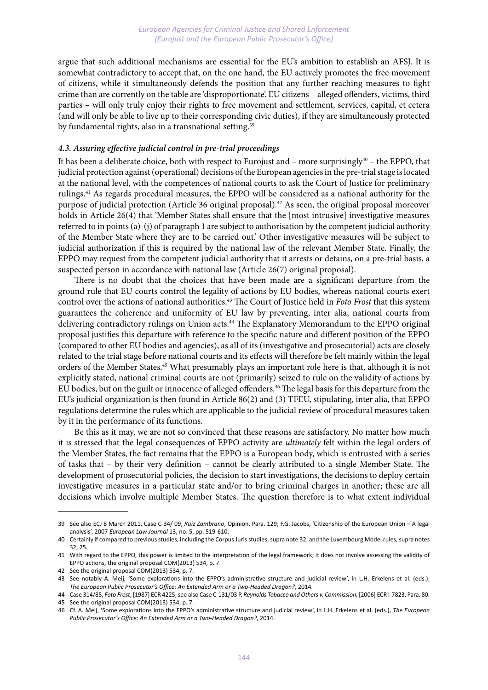argue that such additional mechanisms are essential for the EU's ambition to establish an AFSJ. It is somewhat contradictory to accept that, on the one hand, the EU actively promotes the free movement of citizens, while it simultaneously defends the position that any further-reaching measures to fight crime than are currently on the table are 'disproportionate'. EU citizens – alleged offenders, victims, third parties – will only truly enjoy their rights to free movement and settlement, services, capital, et cetera (and will only be able to live up to their corresponding civic duties), if they are simultaneously protected by fundamental rights, also in a transnational setting.<sup>39</sup>

### *4.3. Assuring effective judicial control in pre-trial proceedings*

It has been a deliberate choice, both with respect to Eurojust and – more surprisingly<sup>40</sup> – the EPPO, that judicial protection against (operational) decisions of the European agencies in the pre-trial stage is located at the national level, with the competences of national courts to ask the Court of Justice for preliminary rulings.41 As regards procedural measures, the EPPO will be considered as a national authority for the purpose of judicial protection (Article 36 original proposal).42 As seen, the original proposal moreover holds in Article 26(4) that 'Member States shall ensure that the [most intrusive] investigative measures referred to in points (a)-(j) of paragraph 1 are subject to authorisation by the competent judicial authority of the Member State where they are to be carried out.' Other investigative measures will be subject to judicial authorization if this is required by the national law of the relevant Member State. Finally, the EPPO may request from the competent judicial authority that it arrests or detains, on a pre-trial basis, a suspected person in accordance with national law (Article 26(7) original proposal).

There is no doubt that the choices that have been made are a significant departure from the ground rule that EU courts control the legality of actions by EU bodies, whereas national courts exert control over the actions of national authorities.43 The Court of Justice held in *Foto Frost* that this system guarantees the coherence and uniformity of EU law by preventing, inter alia, national courts from delivering contradictory rulings on Union acts.<sup>44</sup> The Explanatory Memorandum to the EPPO original proposal justifies this departure with reference to the specific nature and different position of the EPPO (compared to other EU bodies and agencies), as all of its (investigative and prosecutorial) acts are closely related to the trial stage before national courts and its effects will therefore be felt mainly within the legal orders of the Member States.45 What presumably plays an important role here is that, although it is not explicitly stated, national criminal courts are not (primarily) seized to rule on the validity of actions by EU bodies, but on the guilt or innocence of alleged offenders.46 The legal basis for this departure from the EU's judicial organization is then found in Article 86(2) and (3) TFEU, stipulating, inter alia, that EPPO regulations determine the rules which are applicable to the judicial review of procedural measures taken by it in the performance of its functions.

Be this as it may, we are not so convinced that these reasons are satisfactory. No matter how much it is stressed that the legal consequences of EPPO activity are *ultimately* felt within the legal orders of the Member States, the fact remains that the EPPO is a European body, which is entrusted with a series of tasks that – by their very definition – cannot be clearly attributed to a single Member State. The development of prosecutorial policies, the decision to start investigations, the decisions to deploy certain investigative measures in a particular state and/or to bring criminal charges in another; these are all decisions which involve multiple Member States. The question therefore is to what extent individual

<sup>39</sup> See also ECJ 8 March 2011, Case C-34/ 09, *Ruiz Zambrano*, Opinion, Para. 129; F.G. Jacobs, 'Citizenship of the European Union – A legal analysis', 2007 *European Law Journal* 13, no. 5, pp. 519-610.

<sup>40</sup> Certainly if compared to previous studies, including the Corpus Juris studies, supra note 32, and the Luxembourg Model rules, supra notes 32, 25.

<sup>41</sup> With regard to the EPPO, this power is limited to the interpretation of the legal framework; it does not involve assessing the validity of EPPO actions, the original proposal COM(2013) 534, p. 7.

<sup>42</sup> See the original proposal COM(2013) 534, p. 7.

<sup>43</sup> See notably A. Meij, 'Some explorations into the EPPO's administrative structure and judicial review', in L.H. Erkelens et al. (eds.), *The European Public Prosecutor's Office: An Extended Arm or a Two-Headed Dragon?*, 2014.

<sup>44</sup> Case 314/85, *Foto Frost*, [1987] ECR 4225; see also Case C-131/03 P, *Reynolds Tobacco and Others v. Commission*, [2006] ECR I-7823, Para. 80.

<sup>45</sup> See the original proposal COM(2013) 534, p. 7.

<sup>46</sup> Cf. A. Meij, 'Some explorations into the EPPO's administrative structure and judicial review', in L.H. Erkelens et al. (eds.), *The European Public Prosecutor's Office: An Extended Arm or a Two-Headed Dragon?*, 2014.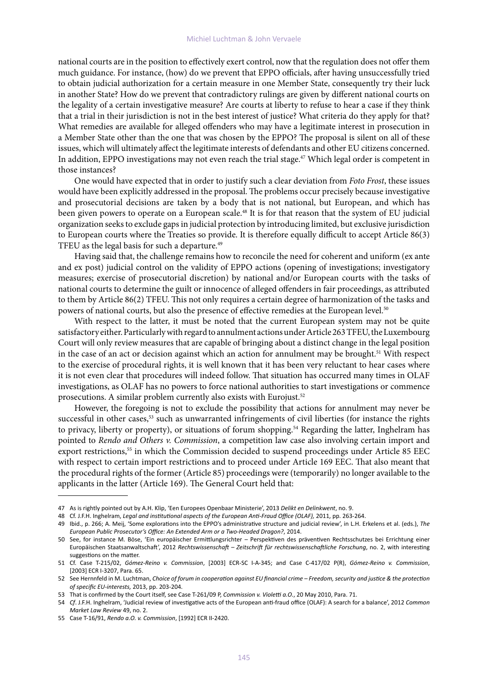national courts are in the position to effectively exert control, now that the regulation does not offer them much guidance. For instance, (how) do we prevent that EPPO officials, after having unsuccessfully tried to obtain judicial authorization for a certain measure in one Member State, consequently try their luck in another State? How do we prevent that contradictory rulings are given by different national courts on the legality of a certain investigative measure? Are courts at liberty to refuse to hear a case if they think that a trial in their jurisdiction is not in the best interest of justice? What criteria do they apply for that? What remedies are available for alleged offenders who may have a legitimate interest in prosecution in a Member State other than the one that was chosen by the EPPO? The proposal is silent on all of these issues, which will ultimately affect the legitimate interests of defendants and other EU citizens concerned. In addition, EPPO investigations may not even reach the trial stage.<sup>47</sup> Which legal order is competent in those instances?

One would have expected that in order to justify such a clear deviation from *Foto Frost*, these issues would have been explicitly addressed in the proposal. The problems occur precisely because investigative and prosecutorial decisions are taken by a body that is not national, but European, and which has been given powers to operate on a European scale.<sup>48</sup> It is for that reason that the system of EU judicial organization seeks to exclude gaps in judicial protection by introducing limited, but exclusive jurisdiction to European courts where the Treaties so provide. It is therefore equally difficult to accept Article 86(3) TFEU as the legal basis for such a departure.<sup>49</sup>

Having said that, the challenge remains how to reconcile the need for coherent and uniform (ex ante and ex post) judicial control on the validity of EPPO actions (opening of investigations; investigatory measures; exercise of prosecutorial discretion) by national and/or European courts with the tasks of national courts to determine the guilt or innocence of alleged offenders in fair proceedings, as attributed to them by Article 86(2) TFEU. This not only requires a certain degree of harmonization of the tasks and powers of national courts, but also the presence of effective remedies at the European level.50

With respect to the latter, it must be noted that the current European system may not be quite satisfactory either. Particularly with regard to annulment actions under Article 263 TFEU, the Luxembourg Court will only review measures that are capable of bringing about a distinct change in the legal position in the case of an act or decision against which an action for annulment may be brought.<sup>51</sup> With respect to the exercise of procedural rights, it is well known that it has been very reluctant to hear cases where it is not even clear that procedures will indeed follow. That situation has occurred many times in OLAF investigations, as OLAF has no powers to force national authorities to start investigations or commence prosecutions. A similar problem currently also exists with Eurojust.<sup>52</sup>

However, the foregoing is not to exclude the possibility that actions for annulment may never be successful in other cases,<sup>53</sup> such as unwarranted infringements of civil liberties (for instance the rights to privacy, liberty or property), or situations of forum shopping.<sup>54</sup> Regarding the latter, Inghelram has pointed to *Rendo and Others v. Commission*, a competition law case also involving certain import and export restrictions,<sup>55</sup> in which the Commission decided to suspend proceedings under Article 85 EEC with respect to certain import restrictions and to proceed under Article 169 EEC. That also meant that the procedural rights of the former (Article 85) proceedings were (temporarily) no longer available to the applicants in the latter (Article 169). The General Court held that:

<sup>47</sup> As is rightly pointed out by A.H. Klip, 'Een Europees Openbaar Ministerie', 2013 *Delikt en Delinkwent*, no. 9.

<sup>48</sup> Cf. J.F.H. Inghelram, *Legal and institutional aspects of the European Anti-Fraud Office (OLAF),* 2011, pp. 263-264.

<sup>49</sup> Ibid., p. 266; A. Meij, 'Some explorations into the EPPO's administrative structure and judicial review', in L.H. Erkelens et al. (eds.), *The European Public Prosecutor's Office: An Extended Arm or a Two-Headed Dragon?*, 2014.

<sup>50</sup> See, for instance M. Böse, 'Ein europäischer Ermittlungsrichter – Perspektiven des präventiven Rechtsschutzes bei Errichtung einer Europäischen Staatsanwaltschaft', 2012 *Rechtswissenschaft – Zeitschrift für rechtswissenschaftliche Forschung*, no. 2, with interesting suggestions on the matter.

<sup>51</sup> Cf. Case T-215/02, *Gómez-Reino v. Commission*, [2003] ECR-SC I-A-345; and Case C-417/02 P(R), *Gómez-Reino v. Commission*, [2003] ECR I-3207, Para. 65.

<sup>52</sup> See Hernnfeld in M. Luchtman, *Choice of forum in cooperation against EU financial crime – Freedom, security and justice & the protection of specific EU-interests,* 2013, pp. 203-204.

<sup>53</sup> That is confirmed by the Court itself, see Case T-261/09 P, *Commission v. Violetti a.O.*, 20 May 2010, Para. 71.

<sup>54</sup> *Cf*. J.F.H. Inghelram, 'Judicial review of investigative acts of the European anti-fraud office (OLAF): A search for a balance', 2012 *Common Market Law Review* 49, no. 2.

<sup>55</sup> Case T-16/91, *Rendo a.O. v. Commission*, [1992] ECR II-2420.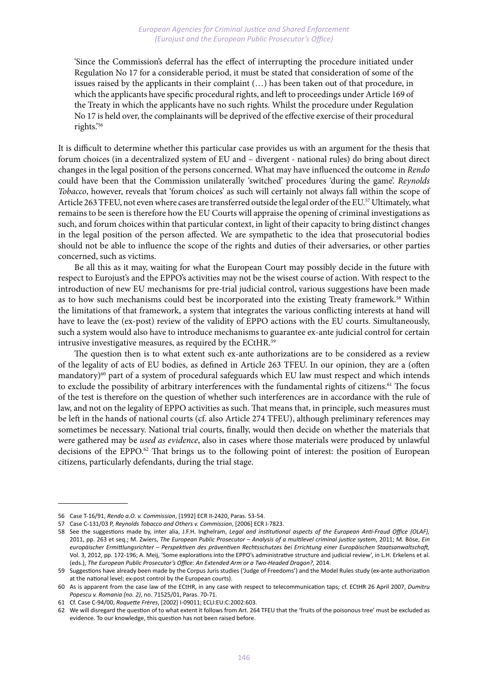'Since the Commission's deferral has the effect of interrupting the procedure initiated under Regulation No 17 for a considerable period, it must be stated that consideration of some of the issues raised by the applicants in their complaint (…) has been taken out of that procedure, in which the applicants have specific procedural rights, and left to proceedings under Article 169 of the Treaty in which the applicants have no such rights. Whilst the procedure under Regulation No 17 is held over, the complainants will be deprived of the effective exercise of their procedural rights.'56

It is difficult to determine whether this particular case provides us with an argument for the thesis that forum choices (in a decentralized system of EU and – divergent - national rules) do bring about direct changes in the legal position of the persons concerned. What may have influenced the outcome in *Rendo* could have been that the Commission unilaterally 'switched' procedures 'during the game'. *Reynolds Tobacco*, however, reveals that 'forum choices' as such will certainly not always fall within the scope of Article 263 TFEU, not even where cases are transferred outside the legal order of the EU.57 Ultimately, what remains to be seen is therefore how the EU Courts will appraise the opening of criminal investigations as such, and forum choices within that particular context, in light of their capacity to bring distinct changes in the legal position of the person affected. We are sympathetic to the idea that prosecutorial bodies should not be able to influence the scope of the rights and duties of their adversaries, or other parties concerned, such as victims.

Be all this as it may, waiting for what the European Court may possibly decide in the future with respect to Eurojust's and the EPPO's activities may not be the wisest course of action. With respect to the introduction of new EU mechanisms for pre-trial judicial control, various suggestions have been made as to how such mechanisms could best be incorporated into the existing Treaty framework.<sup>58</sup> Within the limitations of that framework, a system that integrates the various conflicting interests at hand will have to leave the (ex-post) review of the validity of EPPO actions with the EU courts. Simultaneously, such a system would also have to introduce mechanisms to guarantee ex-ante judicial control for certain intrusive investigative measures, as required by the ECtHR.<sup>59</sup>

The question then is to what extent such ex-ante authorizations are to be considered as a review of the legality of acts of EU bodies, as defined in Article 263 TFEU. In our opinion, they are a (often mandatory)<sup>60</sup> part of a system of procedural safeguards which EU law must respect and which intends to exclude the possibility of arbitrary interferences with the fundamental rights of citizens.<sup>61</sup> The focus of the test is therefore on the question of whether such interferences are in accordance with the rule of law, and not on the legality of EPPO activities as such. That means that, in principle, such measures must be left in the hands of national courts (cf. also Article 274 TFEU), although preliminary references may sometimes be necessary. National trial courts, finally, would then decide on whether the materials that were gathered may be *used as evidence*, also in cases where those materials were produced by unlawful decisions of the EPPO.<sup>62</sup> That brings us to the following point of interest: the position of European citizens, particularly defendants, during the trial stage.

<sup>56</sup> Case T-16/91, *Rendo a.O. v. Commission*, [1992] ECR II-2420, Paras. 53-54.

<sup>57</sup> Case C-131/03 P, *Reynolds Tobacco and Others v. Commission*, [2006] ECR I-7823.

<sup>58</sup> See the suggestions made by, inter alia, J.F.H. Inghelram, *Legal and institutional aspects of the European Anti-Fraud Office (OLAF),*  2011, pp. 263 et seq.; M. Zwiers, *The European Public Prosecutor – Analysis of a multilevel criminal justice system*, 2011; M. Böse, *Ein europäischer Ermittlungsrichter – Perspektiven des präventiven Rechtsschutzes bei Errichtung einer Europäischen Staatsanwaltschaft,*  Vol. 3, 2012, pp. 172-196; A. Meij, 'Some explorations into the EPPO's administrative structure and judicial review', in L.H. Erkelens et al. (eds.), *The European Public Prosecutor's Office: An Extended Arm or a Two-Headed Dragon?*, 2014.

<sup>59</sup> Suggestions have already been made by the Corpus Juris studies ('Judge of Freedoms') and the Model Rules study (ex-ante authorization at the national level; ex-post control by the European courts).

<sup>60</sup> As is apparent from the case law of the ECtHR, in any case with respect to telecommunication taps; cf. ECtHR 26 April 2007, *Dumitru Popescu v. Romania (no. 2)*, no. 71525/01, Paras. 70-71.

<sup>61</sup> Cf. Case C-94/00, *Roquette Frères*, [2002] I-09011; ECLI:EU:C:2002:603.

<sup>62</sup> We will disregard the question of to what extent it follows from Art. 264 TFEU that the 'fruits of the poisonous tree' must be excluded as evidence. To our knowledge, this question has not been raised before.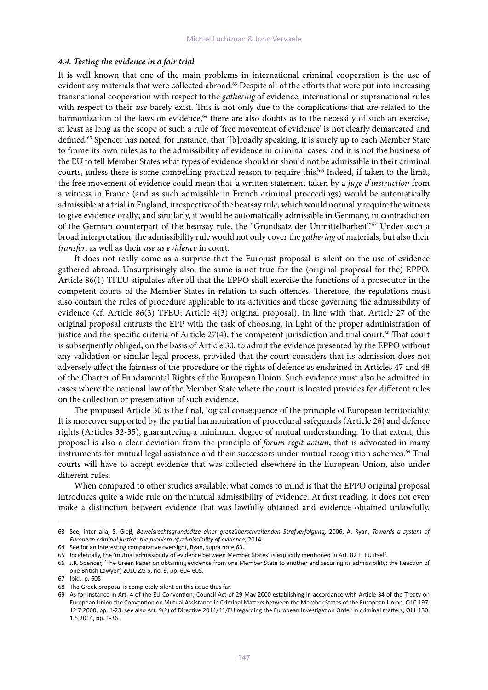#### *4.4. Testing the evidence in a fair trial*

It is well known that one of the main problems in international criminal cooperation is the use of evidentiary materials that were collected abroad.<sup>63</sup> Despite all of the efforts that were put into increasing transnational cooperation with respect to the *gathering* of evidence, international or supranational rules with respect to their *use* barely exist. This is not only due to the complications that are related to the harmonization of the laws on evidence,<sup>64</sup> there are also doubts as to the necessity of such an exercise, at least as long as the scope of such a rule of 'free movement of evidence' is not clearly demarcated and defined.65 Spencer has noted, for instance, that '[b]roadly speaking, it is surely up to each Member State to frame its own rules as to the admissibility of evidence in criminal cases; and it is not the business of the EU to tell Member States what types of evidence should or should not be admissible in their criminal courts, unless there is some compelling practical reason to require this.<sup>266</sup> Indeed, if taken to the limit, the free movement of evidence could mean that 'a written statement taken by a *juge d'instruction* from a witness in France (and as such admissible in French criminal proceedings) would be automatically admissible at a trial in England, irrespective of the hearsay rule, which would normally require the witness to give evidence orally; and similarly, it would be automatically admissible in Germany, in contradiction of the German counterpart of the hearsay rule, the "Grundsatz der Unmittelbarkeit".<sup>67</sup> Under such a broad interpretation, the admissibility rule would not only cover the *gathering* of materials, but also their *transfer*, as well as their *use as evidence* in court.

It does not really come as a surprise that the Eurojust proposal is silent on the use of evidence gathered abroad. Unsurprisingly also, the same is not true for the (original proposal for the) EPPO. Article 86(1) TFEU stipulates after all that the EPPO shall exercise the functions of a prosecutor in the competent courts of the Member States in relation to such offences. Therefore, the regulations must also contain the rules of procedure applicable to its activities and those governing the admissibility of evidence (cf. Article 86(3) TFEU; Article 4(3) original proposal). In line with that, Article 27 of the original proposal entrusts the EPP with the task of choosing, in light of the proper administration of justice and the specific criteria of Article 27(4), the competent jurisdiction and trial court.<sup>68</sup> That court is subsequently obliged, on the basis of Article 30, to admit the evidence presented by the EPPO without any validation or similar legal process, provided that the court considers that its admission does not adversely affect the fairness of the procedure or the rights of defence as enshrined in Articles 47 and 48 of the Charter of Fundamental Rights of the European Union. Such evidence must also be admitted in cases where the national law of the Member State where the court is located provides for different rules on the collection or presentation of such evidence.

The proposed Article 30 is the final, logical consequence of the principle of European territoriality. It is moreover supported by the partial harmonization of procedural safeguards (Article 26) and defence rights (Articles 32-35), guaranteeing a minimum degree of mutual understanding. To that extent, this proposal is also a clear deviation from the principle of *forum regit actum*, that is advocated in many instruments for mutual legal assistance and their successors under mutual recognition schemes.<sup>69</sup> Trial courts will have to accept evidence that was collected elsewhere in the European Union, also under different rules.

When compared to other studies available, what comes to mind is that the EPPO original proposal introduces quite a wide rule on the mutual admissibility of evidence. At first reading, it does not even make a distinction between evidence that was lawfully obtained and evidence obtained unlawfully,

<sup>63</sup> See, inter alia, S. Gleβ, *Beweisrechtsgrundsätze einer grenzüberschreitenden Strafverfolgung,* 2006; A. Ryan, *Towards a system of European criminal justice: the problem of admissibility of evidence,* 2014.

<sup>64</sup> See for an interesting comparative oversight, Ryan, supra note 63.

<sup>65</sup> Incidentally, the 'mutual admissibility of evidence between Member States' is explicitly mentioned in Art. 82 TFEU itself.

<sup>66</sup> J.R. Spencer, 'The Green Paper on obtaining evidence from one Member State to another and securing its admissibility: the Reaction of one British Lawyer', 2010 *ZIS* 5, no. 9, pp. 604-605.

<sup>67</sup> Ibid., p. 605

<sup>68</sup> The Greek proposal is completely silent on this issue thus far.

<sup>69</sup> As for instance in Art. 4 of the EU Convention; Council Act of 29 May 2000 establishing in accordance with Article 34 of the Treaty on European Union the Convention on Mutual Assistance in Criminal Matters between the Member States of the European Union, OJ C 197, 12.7.2000, pp. 1-23; see also Art. 9(2) of Directive 2014/41/EU regarding the European Investigation Order in criminal matters, OJ L 130, 1.5.2014, pp. 1-36.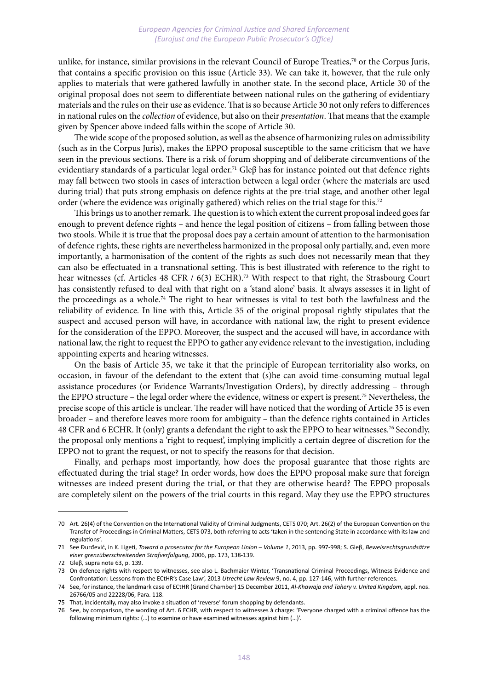#### *European Agencies for Criminal Justice and Shared Enforcement (Eurojust and the European Public Prosecutor's Office)*

unlike, for instance, similar provisions in the relevant Council of Europe Treaties, $\frac{70}{10}$  or the Corpus Juris, that contains a specific provision on this issue (Article 33). We can take it, however, that the rule only applies to materials that were gathered lawfully in another state. In the second place, Article 30 of the original proposal does not seem to differentiate between national rules on the gathering of evidentiary materials and the rules on their use as evidence. That is so because Article 30 not only refers to differences in national rules on the *collection* of evidence, but also on their *presentation*. That means that the example given by Spencer above indeed falls within the scope of Article 30.

The wide scope of the proposed solution, as well as the absence of harmonizing rules on admissibility (such as in the Corpus Juris), makes the EPPO proposal susceptible to the same criticism that we have seen in the previous sections. There is a risk of forum shopping and of deliberate circumventions of the evidentiary standards of a particular legal order.<sup>71</sup> Gle $\beta$  has for instance pointed out that defence rights may fall between two stools in cases of interaction between a legal order (where the materials are used during trial) that puts strong emphasis on defence rights at the pre-trial stage, and another other legal order (where the evidence was originally gathered) which relies on the trial stage for this.<sup>72</sup>

This brings us to another remark. The question is to which extent the current proposal indeed goes far enough to prevent defence rights – and hence the legal position of citizens – from falling between those two stools. While it is true that the proposal does pay a certain amount of attention to the harmonisation of defence rights, these rights are nevertheless harmonized in the proposal only partially, and, even more importantly, a harmonisation of the content of the rights as such does not necessarily mean that they can also be effectuated in a transnational setting. This is best illustrated with reference to the right to hear witnesses (cf. Articles 48 CFR / 6(3) ECHR).<sup>73</sup> With respect to that right, the Strasbourg Court has consistently refused to deal with that right on a 'stand alone' basis. It always assesses it in light of the proceedings as a whole.<sup>74</sup> The right to hear witnesses is vital to test both the lawfulness and the reliability of evidence. In line with this, Article 35 of the original proposal rightly stipulates that the suspect and accused person will have, in accordance with national law, the right to present evidence for the consideration of the EPPO. Moreover, the suspect and the accused will have, in accordance with national law, the right to request the EPPO to gather any evidence relevant to the investigation, including appointing experts and hearing witnesses.

On the basis of Article 35, we take it that the principle of European territoriality also works, on occasion, in favour of the defendant to the extent that (s)he can avoid time-consuming mutual legal assistance procedures (or Evidence Warrants/Investigation Orders), by directly addressing – through the EPPO structure – the legal order where the evidence, witness or expert is present.75 Nevertheless, the precise scope of this article is unclear. The reader will have noticed that the wording of Article 35 is even broader – and therefore leaves more room for ambiguity – than the defence rights contained in Articles 48 CFR and 6 ECHR. It (only) grants a defendant the right to ask the EPPO to hear witnesses.76 Secondly, the proposal only mentions a 'right to request', implying implicitly a certain degree of discretion for the EPPO not to grant the request, or not to specify the reasons for that decision.

Finally, and perhaps most importantly, how does the proposal guarantee that those rights are effectuated during the trial stage? In order words, how does the EPPO proposal make sure that foreign witnesses are indeed present during the trial, or that they are otherwise heard? The EPPO proposals are completely silent on the powers of the trial courts in this regard. May they use the EPPO structures

<sup>70</sup> Art. 26(4) of the Convention on the International Validity of Criminal Judgments, CETS 070; Art. 26(2) of the European Convention on the Transfer of Proceedings in Criminal Matters, CETS 073, both referring to acts 'taken in the sentencing State in accordance with its law and regulations'.

<sup>71</sup> See Đurđević, in K. Ligeti, *Toward a prosecutor for the European Union – Volume 1*, 2013, pp. 997-998; S. Gleβ, *Beweisrechtsgrundsätze einer grenzüberschreitenden Strafverfolgung*, 2006, pp. 173, 138-139.

<sup>72</sup> Gleβ, supra note 63, p. 139.

<sup>73</sup> On defence rights with respect to witnesses, see also L. Bachmaier Winter, 'Transnational Criminal Proceedings, Witness Evidence and Confrontation: Lessons from the ECtHR's Case Law', 2013 *Utrecht Law Review* 9, no. 4, pp. 127-146, with further references.

<sup>74</sup> See, for instance, the landmark case of ECtHR (Grand Chamber) 15 December 2011, *Al-Khawaja and Tahery v. United Kingdom*, appl. nos. 26766/05 and 22228/06, Para. 118.

<sup>75</sup> That, incidentally, may also invoke a situation of 'reverse' forum shopping by defendants.

<sup>76</sup> See, by comparison, the wording of Art. 6 ECHR, with respect to witnesses à charge: 'Everyone charged with a criminal offence has the following minimum rights: (…) to examine or have examined witnesses against him (…)'.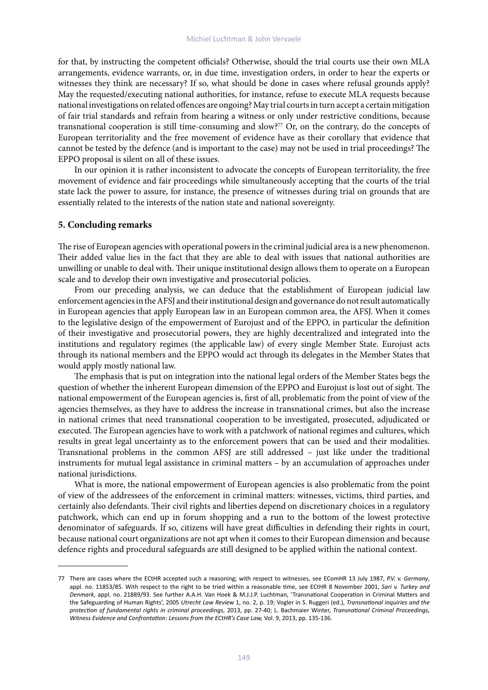for that, by instructing the competent officials? Otherwise, should the trial courts use their own MLA arrangements, evidence warrants, or, in due time, investigation orders, in order to hear the experts or witnesses they think are necessary? If so, what should be done in cases where refusal grounds apply? May the requested/executing national authorities, for instance, refuse to execute MLA requests because national investigations on related offences are ongoing? May trial courts in turn accept a certain mitigation of fair trial standards and refrain from hearing a witness or only under restrictive conditions, because transnational cooperation is still time-consuming and slow?<sup>77</sup> Or, on the contrary, do the concepts of European territoriality and the free movement of evidence have as their corollary that evidence that cannot be tested by the defence (and is important to the case) may not be used in trial proceedings? The EPPO proposal is silent on all of these issues.

In our opinion it is rather inconsistent to advocate the concepts of European territoriality, the free movement of evidence and fair proceedings while simultaneously accepting that the courts of the trial state lack the power to assure, for instance, the presence of witnesses during trial on grounds that are essentially related to the interests of the nation state and national sovereignty.

#### **5. Concluding remarks**

The rise of European agencies with operational powers in the criminal judicial area is a new phenomenon. Their added value lies in the fact that they are able to deal with issues that national authorities are unwilling or unable to deal with. Their unique institutional design allows them to operate on a European scale and to develop their own investigative and prosecutorial policies.

From our preceding analysis, we can deduce that the establishment of European judicial law enforcement agencies in the AFSJ and their institutional design and governance do not result automatically in European agencies that apply European law in an European common area, the AFSJ. When it comes to the legislative design of the empowerment of Eurojust and of the EPPO, in particular the definition of their investigative and prosecutorial powers, they are highly decentralized and integrated into the institutions and regulatory regimes (the applicable law) of every single Member State. Eurojust acts through its national members and the EPPO would act through its delegates in the Member States that would apply mostly national law.

The emphasis that is put on integration into the national legal orders of the Member States begs the question of whether the inherent European dimension of the EPPO and Eurojust is lost out of sight. The national empowerment of the European agencies is, first of all, problematic from the point of view of the agencies themselves, as they have to address the increase in transnational crimes, but also the increase in national crimes that need transnational cooperation to be investigated, prosecuted, adjudicated or executed. The European agencies have to work with a patchwork of national regimes and cultures, which results in great legal uncertainty as to the enforcement powers that can be used and their modalities. Transnational problems in the common AFSJ are still addressed – just like under the traditional instruments for mutual legal assistance in criminal matters – by an accumulation of approaches under national jurisdictions.

What is more, the national empowerment of European agencies is also problematic from the point of view of the addressees of the enforcement in criminal matters: witnesses, victims, third parties, and certainly also defendants. Their civil rights and liberties depend on discretionary choices in a regulatory patchwork, which can end up in forum shopping and a run to the bottom of the lowest protective denominator of safeguards. If so, citizens will have great difficulties in defending their rights in court, because national court organizations are not apt when it comes to their European dimension and because defence rights and procedural safeguards are still designed to be applied within the national context.

<sup>77</sup> There are cases where the ECtHR accepted such a reasoning; with respect to witnesses, see EComHR 13 July 1987, *P.V. v. Germany*, appl. no. 11853/85. With respect to the right to be tried within a reasonable time, see ECtHR 8 November 2001, *Sari v. Turkey and Denmark*, appl. no. 21889/93. See further A.A.H. Van Hoek & M.J.J.P. Luchtman, 'Transnational Cooperation in Criminal Matters and the Safeguarding of Human Rights', 2005 *Utrecht Law Review* 1, no. 2, p. 19; Vogler in S. Ruggeri (ed.), *Transnational inquiries and the protection of fundamental rights in criminal proceedings*, 2013, pp. 27-40; L. Bachmaier Winter, *Transnational Criminal Proceedings,*  Witness Evidence and Confrontation: Lessons from the ECtHR's Case Law, Vol. 9, 2013, pp. 135-136.